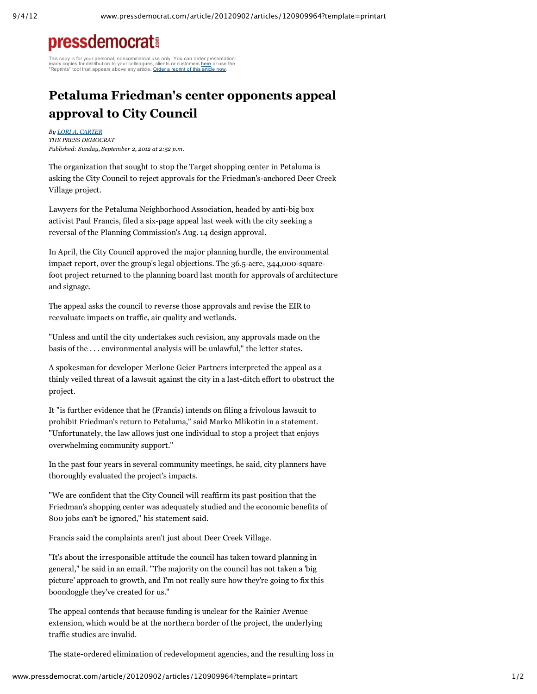## **pressdemocrat!**

This copy is for your personal, noncommercial use only. You can order presentationready copies for distribution to your colleagues, clients or customers <u>here</u> or use the<br>"Reprints" tool that appears above any article. <u>Order a reprint of this article now</u>.

## **Petaluma Friedman's center opponents appeal approval to City Council**

*By LORI A. CARTER THE PRESS DEMOCRAT Published: Sunday, September 2, 2012 at 2:52 p.m.*

The organization that sought to stop the Target shopping center in Petaluma is asking the City Council to reject approvals for the Friedman's-anchored Deer Creek Village project.

Lawyers for the Petaluma Neighborhood Association, headed by anti-big box activist Paul Francis, filed a six-page appeal last week with the city seeking a reversal of the Planning Commission's Aug. 14 design approval.

In April, the City Council approved the major planning hurdle, the environmental impact report, over the group's legal objections. The 36.5-acre, 344,000-squarefoot project returned to the planning board last month for approvals of architecture and signage.

The appeal asks the council to reverse those approvals and revise the EIR to reevaluate impacts on traffic, air quality and wetlands.

"Unless and until the city undertakes such revision, any approvals made on the basis of the . . . environmental analysis will be unlawful," the letter states.

A spokesman for developer Merlone Geier Partners interpreted the appeal as a thinly veiled threat of a lawsuit against the city in a last-ditch effort to obstruct the project.

It "is further evidence that he (Francis) intends on filing a frivolous lawsuit to prohibit Friedman's return to Petaluma," said Marko Mlikotin in a statement. "Unfortunately, the law allows just one individual to stop a project that enjoys overwhelming community support."

In the past four years in several community meetings, he said, city planners have thoroughly evaluated the project's impacts.

"We are confident that the City Council will reaffirm its past position that the Friedman's shopping center was adequately studied and the economic benefits of 800 jobs can't be ignored," his statement said.

Francis said the complaints aren't just about Deer Creek Village.

"It's about the irresponsible attitude the council has taken toward planning in general," he said in an email. "The majority on the council has not taken a 'big picture' approach to growth, and I'm not really sure how they're going to fix this boondoggle they've created for us."

The appeal contends that because funding is unclear for the Rainier Avenue extension, which would be at the northern border of the project, the underlying traffic studies are invalid.

The state-ordered elimination of redevelopment agencies, and the resulting loss in